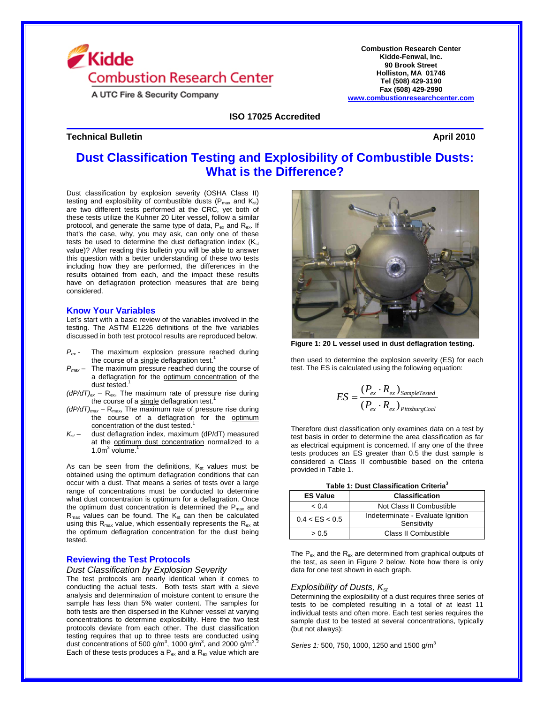

A UTC Fire & Security Company

**Technical Bulletin** April 2010

**Combustion Research Center Kidde-Fenwal, Inc. 90 Brook Street Holliston, MA 01746 Tel (508) 429-3190 Fax (508) 429-2990 www.combustionresearchcenter.com**

**ISO 17025 Accredited**

# **Dust Classification Testing and Explosibility of Combustible Dusts: What is the Difference?**

Dust classification by explosion severity (OSHA Class II) testing and explosibility of combustible dusts ( $P_{max}$  and  $K_{st}$ ) are two different tests performed at the CRC, yet both of these tests utilize the Kuhner 20 Liter vessel, follow a similar protocol, and generate the same type of data,  $P_{ex}$  and  $R_{ex}$ . If that's the case, why, you may ask, can only one of these tests be used to determine the dust deflagration index  $(K_{st})$ value)? After reading this bulletin you will be able to answer this question with a better understanding of these two tests including how they are performed, the differences in the results obtained from each, and the impact these results have on deflagration protection measures that are being considered.

#### **Know Your Variables**

Let's start with a basic review of the variables involved in the testing. The ASTM E1226 definitions of the five variables discussed in both test protocol results are reproduced below.

- *Pex* The maximum explosion pressure reached during the course of a single deflagration test.<sup>1</sup>
- *Pmax* The maximum pressure reached during the course of a deflagration for the optimum concentration of the dust tested. $1$
- *(dP/dT)ex* Rex, The maximum rate of pressure rise during the course of a single deflagration test.<sup>1</sup>
- $(dP/dT)_{max}$  R<sub>max</sub>, The maximum rate of pressure rise during the course of a deflagration for the optimum concentration of the dust tested.<sup>1</sup>
- *Kst* dust deflagration index, maximum (dP/dT) measured at the optimum dust concentration normalized to a  $1.0<sup>m</sup>$  volume.<sup>1</sup>

As can be seen from the definitions,  $K_{st}$  values must be obtained using the optimum deflagration conditions that can occur with a dust. That means a series of tests over a large range of concentrations must be conducted to determine what dust concentration is optimum for a deflagration. Once the optimum dust concentration is determined the  $P_{max}$  and  $R_{\text{max}}$  values can be found. The  $K_{\text{st}}$  can then be calculated using this  $R_{\text{max}}$  value, which essentially represents the  $R_{\text{ex}}$  at the optimum deflagration concentration for the dust being tested.

## **Reviewing the Test Protocols**

## *Dust Classification by Explosion Severity*

The test protocols are nearly identical when it comes to conducting the actual tests. Both tests start with a sieve analysis and determination of moisture content to ensure the sample has less than 5% water content. The samples for both tests are then dispersed in the Kuhner vessel at varying concentrations to determine explosibility. Here the two test protocols deviate from each other. The dust classification testing requires that up to three tests are conducted using dust concentrations of 500 g/m<sup>3</sup>, 1000 g/m<sup>3</sup>, and 2000 g/m<sup>32</sup> Each of these tests produces a  $P_{ex}$  and a  $R_{ex}$  value which are



**Figure 1: 20 L vessel used in dust deflagration testing.** 

then used to determine the explosion severity (ES) for each test. The ES is calculated using the following equation:

$$
ES = \frac{(P_{ex} \cdot R_{ex})_{SampleTested}}{(P_{ex} \cdot R_{ex})_{PittsburgCoal}}
$$

Therefore dust classification only examines data on a test by test basis in order to determine the area classification as far as electrical equipment is concerned. If any one of the three tests produces an ES greater than 0.5 the dust sample is considered a Class II combustible based on the criteria provided in Table 1.

| Table 1: Dust Classification Criteria <sup>3</sup> |  |  |
|----------------------------------------------------|--|--|
|----------------------------------------------------|--|--|

| <b>ES Value</b> | <b>Classification</b>                            |
|-----------------|--------------------------------------------------|
| < 0.4           | Not Class II Combustible                         |
| 0.4 < ES < 0.5  | Indeterminate - Evaluate Ignition<br>Sensitivity |
| > 0.5           | Class II Combustible                             |

The  $P_{ex}$  and the  $R_{ex}$  are determined from graphical outputs of the test, as seen in Figure 2 below. Note how there is only data for one test shown in each graph.

## *Explosibility of Dusts, Kst*

Determining the explosibility of a dust requires three series of tests to be completed resulting in a total of at least 11 individual tests and often more. Each test series requires the sample dust to be tested at several concentrations, typically (but not always):

*Series 1:* 500, 750, 1000, 1250 and 1500 g/m<sup>3</sup>